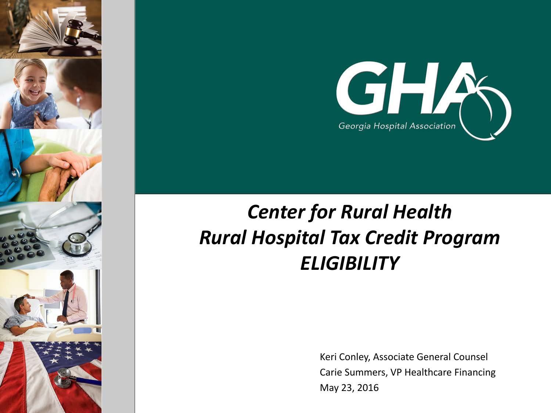



# *Center for Rural Health Rural Hospital Tax Credit Program ELIGIBILITY*

Keri Conley, Associate General Counsel Carie Summers, VP Healthcare Financing May 23, 2016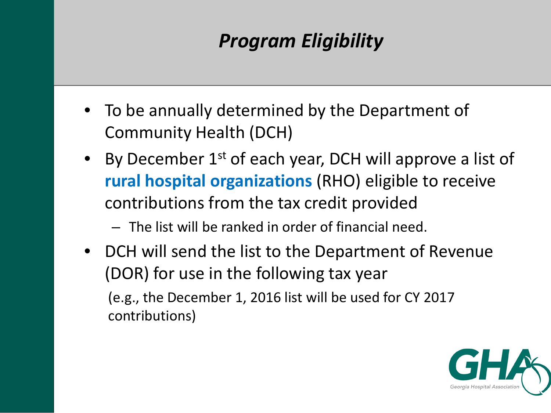## *Program Eligibility*

- To be annually determined by the Department of Community Health (DCH)
- By December  $1^{st}$  of each year, DCH will approve a list of **rural hospital organizations** (RHO) eligible to receive contributions from the tax credit provided
	- The list will be ranked in order of financial need.
- DCH will send the list to the Department of Revenue (DOR) for use in the following tax year (e.g., the December 1, 2016 list will be used for CY 2017 contributions)

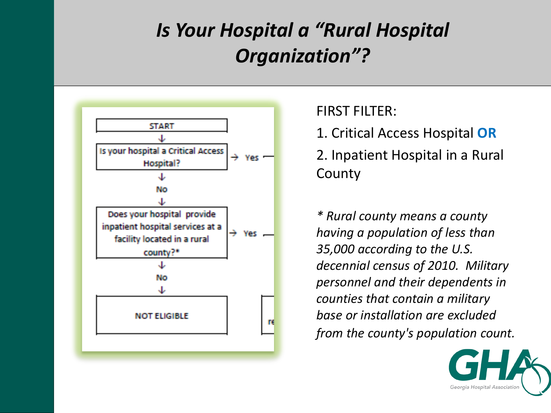# *Is Your Hospital a "Rural Hospital Organization"?*



FIRST FILTER:

1. Critical Access Hospital **OR**

2. Inpatient Hospital in a Rural **County** 

*\* Rural county means a county having a population of less than 35,000 according to the U.S. decennial census of 2010. Military personnel and their dependents in counties that contain a military base or installation are excluded from the county's population count.*

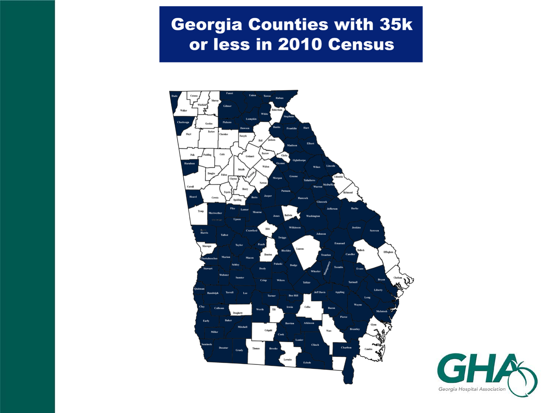### **Georgia Counties with 35k** or less in 2010 Census



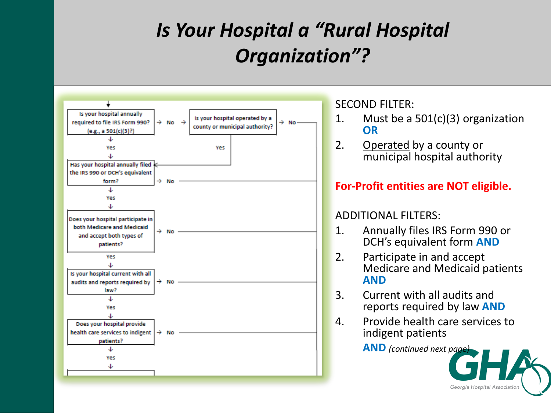# *Is Your Hospital a "Rural Hospital Organization"?*



SECOND FILTER:

- 1. Must be a 501(c)(3) organization **OR**
- 2. Operated by a county or municipal hospital authority

### **For-Profit entities are NOT eligible.**

#### ADDITIONAL FILTERS:

- 1. Annually files IRS Form 990 or DCH's equivalent form **AND**
- 2. Participate in and accept Medicare and Medicaid patients **AND**
- 3. Current with all audits and reports required by law **AND**
- 4. Provide health care services to indigent patients

**AND** *(continued next page)*

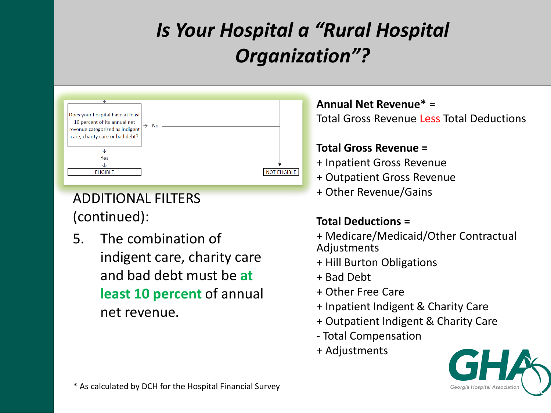# *Is Your Hospital a "Rural Hospital Organization"?*



ADDITIONAL FILTERS (continued):

5. The combination of indigent care, charity care and bad debt must be **at least 10 percent** of annual net revenue.

**Annual Net Revenue\*** = Total Gross Revenue Less Total Deductions

#### **Total Gross Revenue =**

- + Inpatient Gross Revenue
- + Outpatient Gross Revenue
- + Other Revenue/Gains

#### **Total Deductions =**

- + Medicare/Medicaid/Other Contractual Adjustments
- + Hill Burton Obligations
- + Bad Debt
- + Other Free Care
- + Inpatient Indigent & Charity Care
- + Outpatient Indigent & Charity Care
- Total Compensation
- + Adjustments

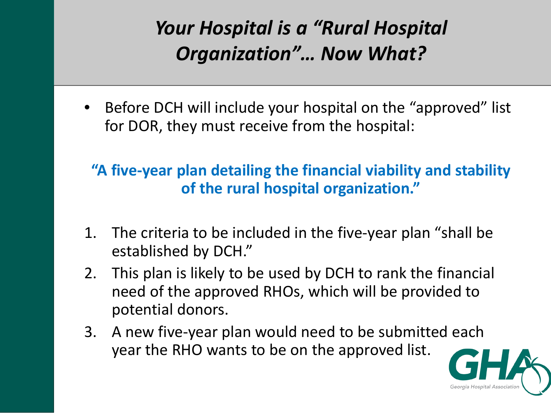# *Your Hospital is a "Rural Hospital Organization"… Now What?*

• Before DCH will include your hospital on the "approved" list for DOR, they must receive from the hospital:

### **"A five-year plan detailing the financial viability and stability of the rural hospital organization."**

- 1. The criteria to be included in the five-year plan "shall be established by DCH."
- 2. This plan is likely to be used by DCH to rank the financial need of the approved RHOs, which will be provided to potential donors.
- 3. A new five-year plan would need to be submitted each year the RHO wants to be on the approved list.